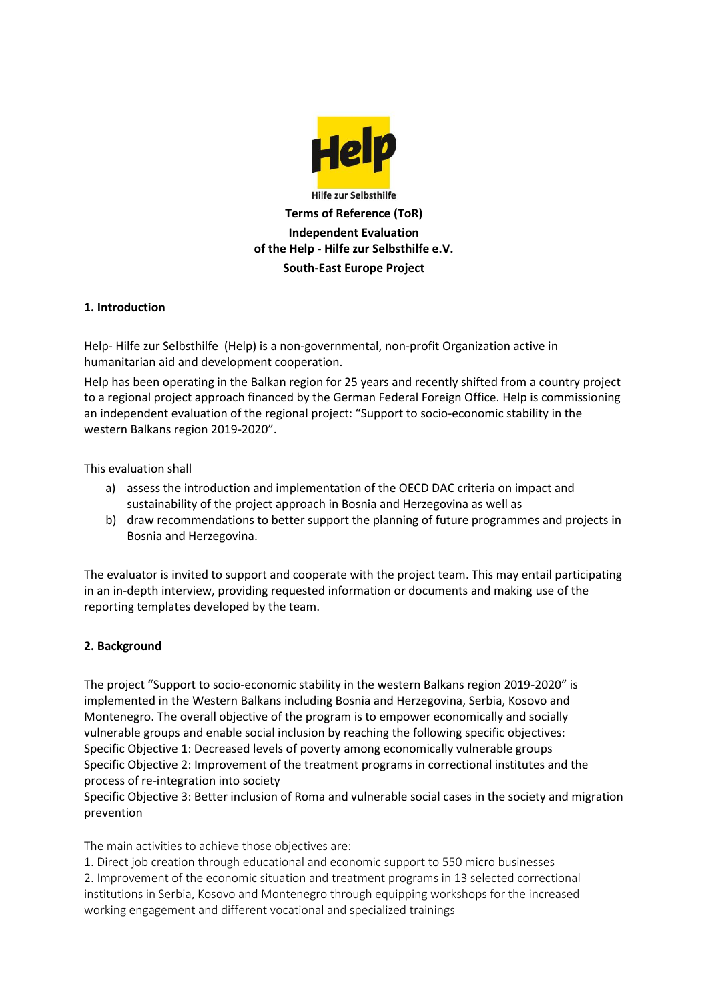

### **1. Introduction**

Help- Hilfe zur Selbsthilfe (Help) is a non-governmental, non-profit Organization active in humanitarian aid and development cooperation.

Help has been operating in the Balkan region for 25 years and recently shifted from a country project to a regional project approach financed by the German Federal Foreign Office. Help is commissioning an independent evaluation of the regional project: "Support to socio-economic stability in the western Balkans region 2019-2020".

This evaluation shall

- a) assess the introduction and implementation of the OECD DAC criteria on impact and sustainability of the project approach in Bosnia and Herzegovina as well as
- b) draw recommendations to better support the planning of future programmes and projects in Bosnia and Herzegovina.

The evaluator is invited to support and cooperate with the project team. This may entail participating in an in-depth interview, providing requested information or documents and making use of the reporting templates developed by the team.

#### **2. Background**

The project "Support to socio-economic stability in the western Balkans region 2019-2020" is implemented in the Western Balkans including Bosnia and Herzegovina, Serbia, Kosovo and Montenegro. The overall objective of the program is to empower economically and socially vulnerable groups and enable social inclusion by reaching the following specific objectives: Specific Objective 1: Decreased levels of poverty among economically vulnerable groups Specific Objective 2: Improvement of the treatment programs in correctional institutes and the process of re-integration into society

Specific Objective 3: Better inclusion of Roma and vulnerable social cases in the society and migration prevention

The main activities to achieve those objectives are:

1. Direct job creation through educational and economic support to 550 micro businesses 2. Improvement of the economic situation and treatment programs in 13 selected correctional institutions in Serbia, Kosovo and Montenegro through equipping workshops for the increased working engagement and different vocational and specialized trainings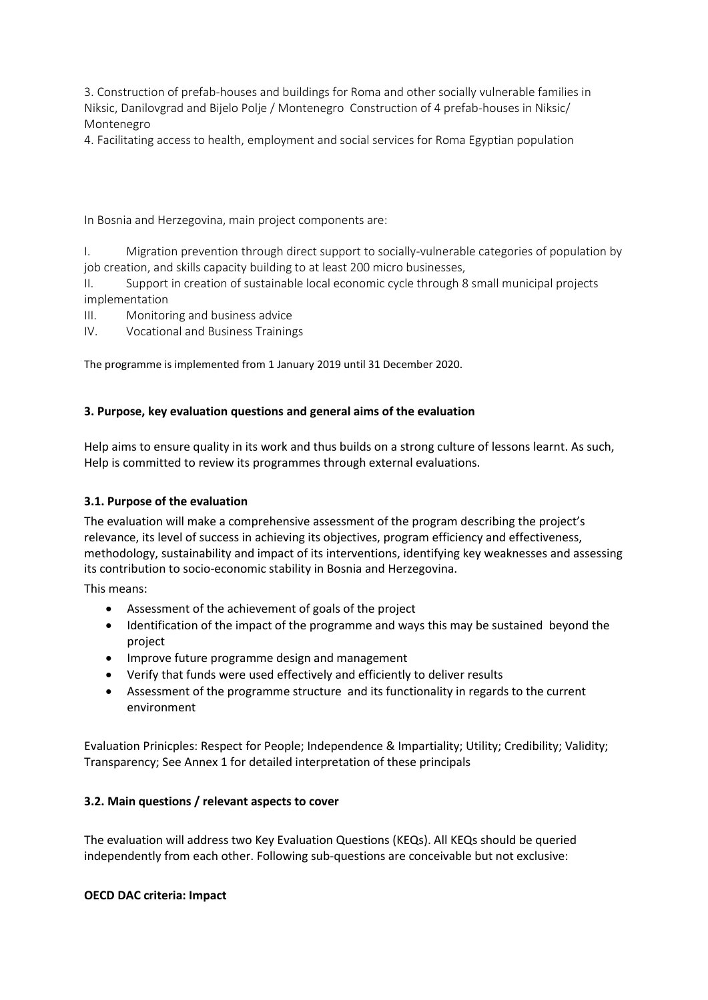3. Construction of prefab-houses and buildings for Roma and other socially vulnerable families in Niksic, Danilovgrad and Bijelo Polje / Montenegro Construction of 4 prefab-houses in Niksic/ Montenegro

4. Facilitating access to health, employment and social services for Roma Egyptian population

In Bosnia and Herzegovina, main project components are:

I. Migration prevention through direct support to socially-vulnerable categories of population by job creation, and skills capacity building to at least 200 micro businesses,

II. Support in creation of sustainable local economic cycle through 8 small municipal projects implementation

III. Monitoring and business advice

IV. Vocational and Business Trainings

The programme is implemented from 1 January 2019 until 31 December 2020.

### **3. Purpose, key evaluation questions and general aims of the evaluation**

Help aims to ensure quality in its work and thus builds on a strong culture of lessons learnt. As such, Help is committed to review its programmes through external evaluations.

#### **3.1. Purpose of the evaluation**

The evaluation will make a comprehensive assessment of the program describing the project's relevance, its level of success in achieving its objectives, program efficiency and effectiveness, methodology, sustainability and impact of its interventions, identifying key weaknesses and assessing its contribution to socio-economic stability in Bosnia and Herzegovina.

This means:

- Assessment of the achievement of goals of the project
- Identification of the impact of the programme and ways this may be sustained beyond the project
- Improve future programme design and management
- Verify that funds were used effectively and efficiently to deliver results
- Assessment of the programme structure and its functionality in regards to the current environment

Evaluation Prinicples: Respect for People; Independence & Impartiality; Utility; Credibility; Validity; Transparency; See Annex 1 for detailed interpretation of these principals

#### **3.2. Main questions / relevant aspects to cover**

The evaluation will address two Key Evaluation Questions (KEQs). All KEQs should be queried independently from each other. Following sub-questions are conceivable but not exclusive:

#### **OECD DAC criteria: Impact**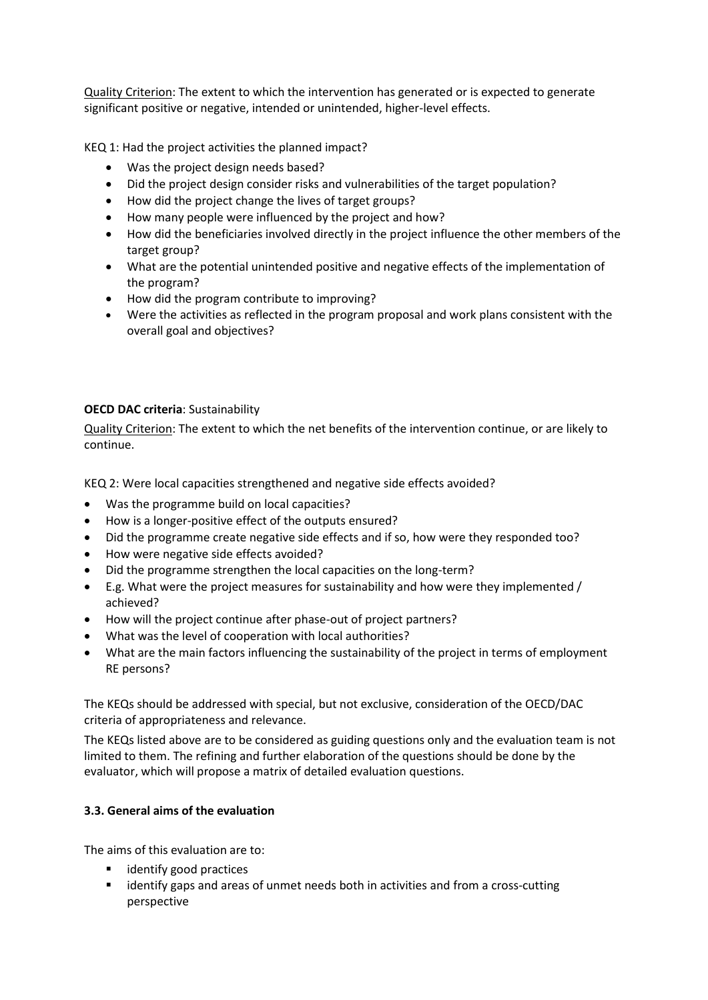Quality Criterion: The extent to which the intervention has generated or is expected to generate significant positive or negative, intended or unintended, higher-level effects.

KEQ 1: Had the project activities the planned impact?

- Was the project design needs based?
- Did the project design consider risks and vulnerabilities of the target population?
- How did the project change the lives of target groups?
- How many people were influenced by the project and how?
- How did the beneficiaries involved directly in the project influence the other members of the target group?
- What are the potential unintended positive and negative effects of the implementation of the program?
- How did the program contribute to improving?
- Were the activities as reflected in the program proposal and work plans consistent with the overall goal and objectives?

## **OECD DAC criteria**: Sustainability

Quality Criterion: The extent to which the net benefits of the intervention continue, or are likely to continue.

KEQ 2: Were local capacities strengthened and negative side effects avoided?

- Was the programme build on local capacities?
- How is a longer-positive effect of the outputs ensured?
- Did the programme create negative side effects and if so, how were they responded too?
- How were negative side effects avoided?
- Did the programme strengthen the local capacities on the long-term?
- E.g. What were the project measures for sustainability and how were they implemented / achieved?
- How will the project continue after phase-out of project partners?
- What was the level of cooperation with local authorities?
- What are the main factors influencing the sustainability of the project in terms of employment RE persons?

The KEQs should be addressed with special, but not exclusive, consideration of the OECD/DAC criteria of appropriateness and relevance.

The KEQs listed above are to be considered as guiding questions only and the evaluation team is not limited to them. The refining and further elaboration of the questions should be done by the evaluator, which will propose a matrix of detailed evaluation questions.

## **3.3. General aims of the evaluation**

The aims of this evaluation are to:

- identify good practices
- identify gaps and areas of unmet needs both in activities and from a cross-cutting perspective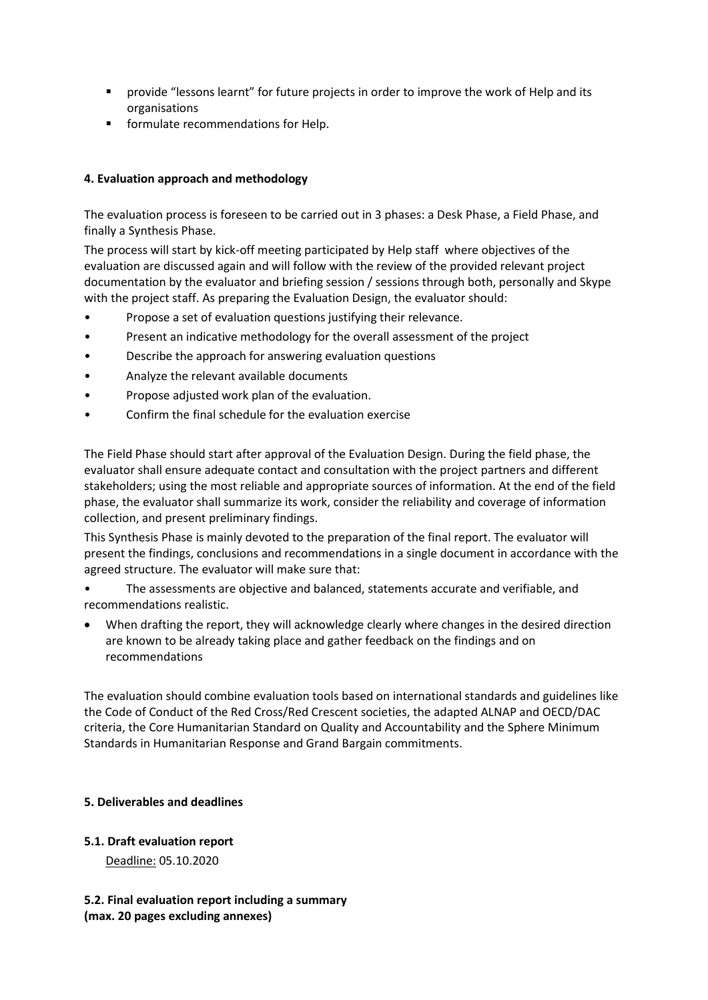- **•** provide "lessons learnt" for future projects in order to improve the work of Help and its organisations
- **F** formulate recommendations for Help.

# **4. Evaluation approach and methodology**

The evaluation process is foreseen to be carried out in 3 phases: a Desk Phase, a Field Phase, and finally a Synthesis Phase.

The process will start by kick-off meeting participated by Help staff where objectives of the evaluation are discussed again and will follow with the review of the provided relevant project documentation by the evaluator and briefing session / sessions through both, personally and Skype with the project staff. As preparing the Evaluation Design, the evaluator should:

- Propose a set of evaluation questions justifying their relevance.
- Present an indicative methodology for the overall assessment of the project
- Describe the approach for answering evaluation questions
- Analyze the relevant available documents
- Propose adjusted work plan of the evaluation.
- Confirm the final schedule for the evaluation exercise

The Field Phase should start after approval of the Evaluation Design. During the field phase, the evaluator shall ensure adequate contact and consultation with the project partners and different stakeholders; using the most reliable and appropriate sources of information. At the end of the field phase, the evaluator shall summarize its work, consider the reliability and coverage of information collection, and present preliminary findings.

This Synthesis Phase is mainly devoted to the preparation of the final report. The evaluator will present the findings, conclusions and recommendations in a single document in accordance with the agreed structure. The evaluator will make sure that:

• The assessments are objective and balanced, statements accurate and verifiable, and recommendations realistic.

 When drafting the report, they will acknowledge clearly where changes in the desired direction are known to be already taking place and gather feedback on the findings and on recommendations

The evaluation should combine evaluation tools based on international standards and guidelines like the Code of Conduct of the Red Cross/Red Crescent societies, the adapted ALNAP and OECD/DAC criteria, the Core Humanitarian Standard on Quality and Accountability and the Sphere Minimum Standards in Humanitarian Response and Grand Bargain commitments.

## **5. Deliverables and deadlines**

## **5.1. Draft evaluation report**

Deadline: 05.10.2020

**5.2. Final evaluation report including a summary (max. 20 pages excluding annexes)**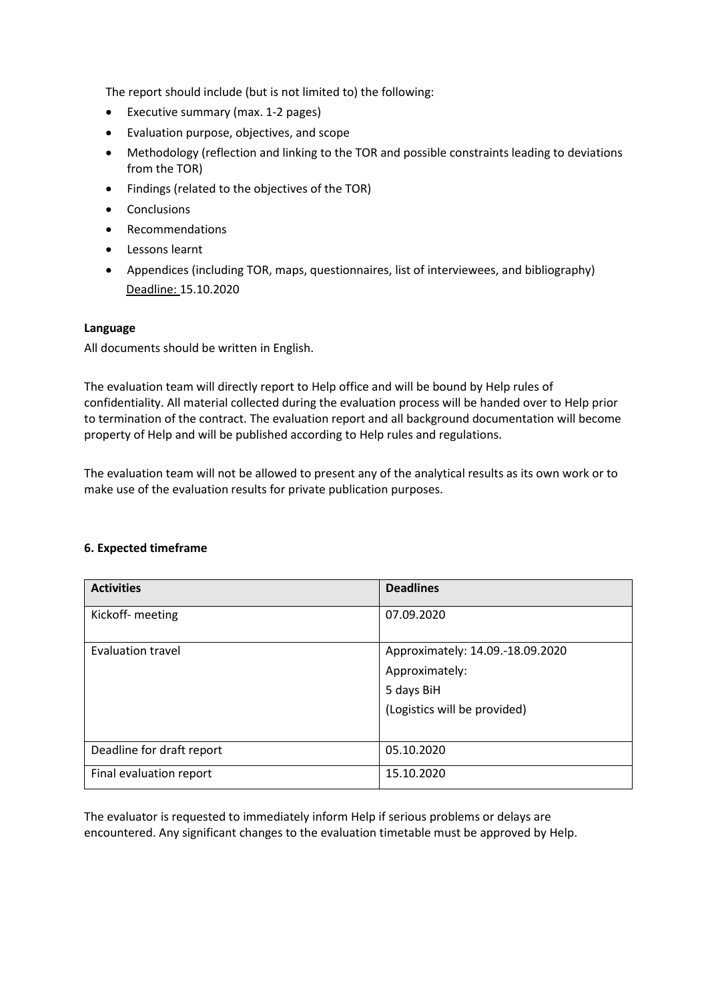The report should include (but is not limited to) the following:

- Executive summary (max. 1-2 pages)
- Evaluation purpose, objectives, and scope
- Methodology (reflection and linking to the TOR and possible constraints leading to deviations from the TOR)
- Findings (related to the objectives of the TOR)
- Conclusions
- Recommendations
- Lessons learnt
- Appendices (including TOR, maps, questionnaires, list of interviewees, and bibliography) Deadline: 15.10.2020

#### **Language**

All documents should be written in English.

The evaluation team will directly report to Help office and will be bound by Help rules of confidentiality. All material collected during the evaluation process will be handed over to Help prior to termination of the contract. The evaluation report and all background documentation will become property of Help and will be published according to Help rules and regulations.

The evaluation team will not be allowed to present any of the analytical results as its own work or to make use of the evaluation results for private publication purposes.

#### **6. Expected timeframe**

| <b>Activities</b>         | <b>Deadlines</b>                 |
|---------------------------|----------------------------------|
| Kickoff- meeting          | 07.09.2020                       |
| Evaluation travel         | Approximately: 14.09.-18.09.2020 |
|                           | Approximately:                   |
|                           | 5 days BiH                       |
|                           | (Logistics will be provided)     |
|                           |                                  |
| Deadline for draft report | 05.10.2020                       |
| Final evaluation report   | 15.10.2020                       |

The evaluator is requested to immediately inform Help if serious problems or delays are encountered. Any significant changes to the evaluation timetable must be approved by Help.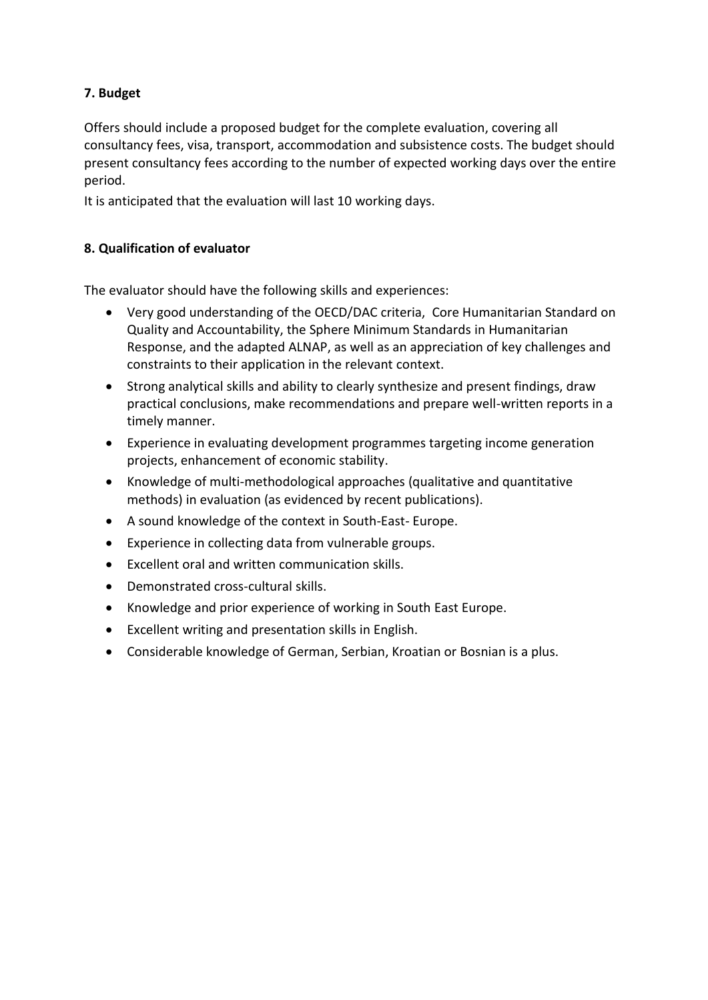# **7. Budget**

Offers should include a proposed budget for the complete evaluation, covering all consultancy fees, visa, transport, accommodation and subsistence costs. The budget should present consultancy fees according to the number of expected working days over the entire period.

It is anticipated that the evaluation will last 10 working days.

# **8. Qualification of evaluator**

The evaluator should have the following skills and experiences:

- Very good understanding of the OECD/DAC criteria, Core Humanitarian Standard on Quality and Accountability, the Sphere Minimum Standards in Humanitarian Response, and the adapted ALNAP, as well as an appreciation of key challenges and constraints to their application in the relevant context.
- Strong analytical skills and ability to clearly synthesize and present findings, draw practical conclusions, make recommendations and prepare well-written reports in a timely manner.
- Experience in evaluating development programmes targeting income generation projects, enhancement of economic stability.
- Knowledge of multi-methodological approaches (qualitative and quantitative methods) in evaluation (as evidenced by recent publications).
- A sound knowledge of the context in South-East- Europe.
- Experience in collecting data from vulnerable groups.
- Excellent oral and written communication skills.
- Demonstrated cross-cultural skills.
- Knowledge and prior experience of working in South East Europe.
- Excellent writing and presentation skills in English.
- Considerable knowledge of German, Serbian, Kroatian or Bosnian is a plus.